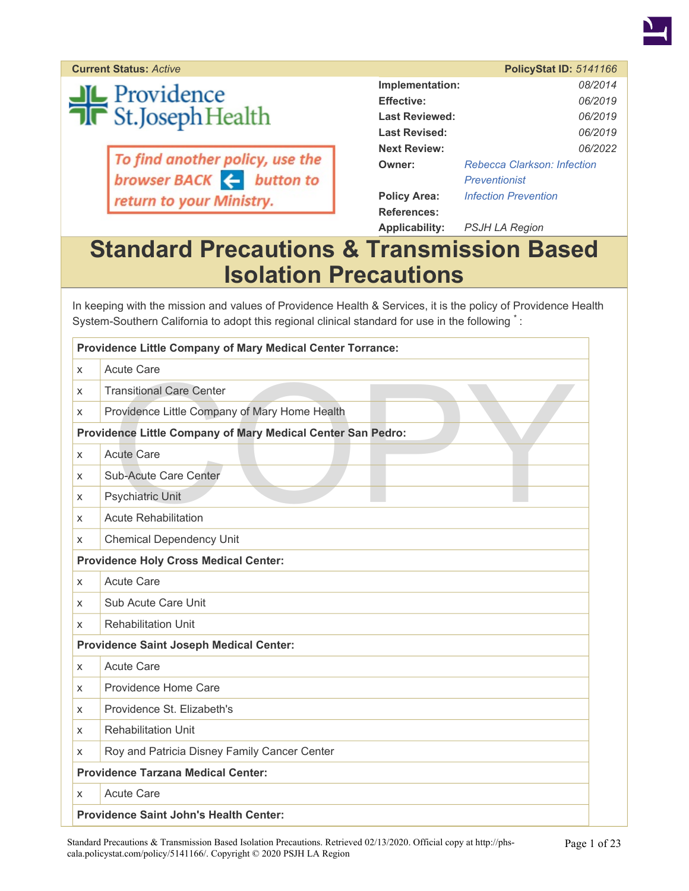

**Current Status: Active** 

**JL** Providence<br>T**R** St.Joseph Health

To find another policy, use the<br>browser BACK  $\leftarrow$  button to return to your Ministry.

|                       | <b>PolicyStat ID: 5141166</b>      |
|-----------------------|------------------------------------|
| Implementation:       | 08/2014                            |
| <b>Effective:</b>     | 06/2019                            |
| <b>Last Reviewed:</b> | 06/2019                            |
| Last Revised:         | 06/2019                            |
| <b>Next Review:</b>   | 06/2022                            |
| Owner:                | <b>Rebecca Clarkson: Infection</b> |
|                       | Preventionist                      |
| <b>Policy Area:</b>   | <b>Infection Prevention</b>        |
| References:           |                                    |
| Applicability:        | PSJH LA Region                     |

# **Standard Precautions & Transmission Based Isolation Precautions**

In keeping with the mission and values of Providence Health & Services, it is the policy of Providence Health System-Southern California to adopt this regional clinical standard for use in the following  $\dot{\,}$ :

| <b>Providence Little Company of Mary Medical Center Torrance:</b> |                                                |  |
|-------------------------------------------------------------------|------------------------------------------------|--|
| X                                                                 | <b>Acute Care</b>                              |  |
| X                                                                 | <b>Transitional Care Center</b>                |  |
| X                                                                 | Providence Little Company of Mary Home Health  |  |
| Providence Little Company of Mary Medical Center San Pedro:       |                                                |  |
| X                                                                 | <b>Acute Care</b>                              |  |
| X                                                                 | Sub-Acute Care Center                          |  |
| X                                                                 | <b>Psychiatric Unit</b>                        |  |
| X                                                                 | <b>Acute Rehabilitation</b>                    |  |
| X                                                                 | <b>Chemical Dependency Unit</b>                |  |
|                                                                   | <b>Providence Holy Cross Medical Center:</b>   |  |
| X                                                                 | <b>Acute Care</b>                              |  |
| X                                                                 | Sub Acute Care Unit                            |  |
| X                                                                 | <b>Rehabilitation Unit</b>                     |  |
|                                                                   | <b>Providence Saint Joseph Medical Center:</b> |  |
| X                                                                 | <b>Acute Care</b>                              |  |
| X                                                                 | Providence Home Care                           |  |
| X                                                                 | Providence St. Elizabeth's                     |  |
| X                                                                 | <b>Rehabilitation Unit</b>                     |  |
| X                                                                 | Roy and Patricia Disney Family Cancer Center   |  |
|                                                                   | <b>Providence Tarzana Medical Center:</b>      |  |
| x                                                                 | <b>Acute Care</b>                              |  |
|                                                                   | <b>Providence Saint John's Health Center:</b>  |  |

Standard Precautions & Transmission Based Isolation Precautions. Retrieved 02/13/2020. Official copy at http://phscala.policystat.com/policy/5141166/. Copyright © 2020 PSJH LA Region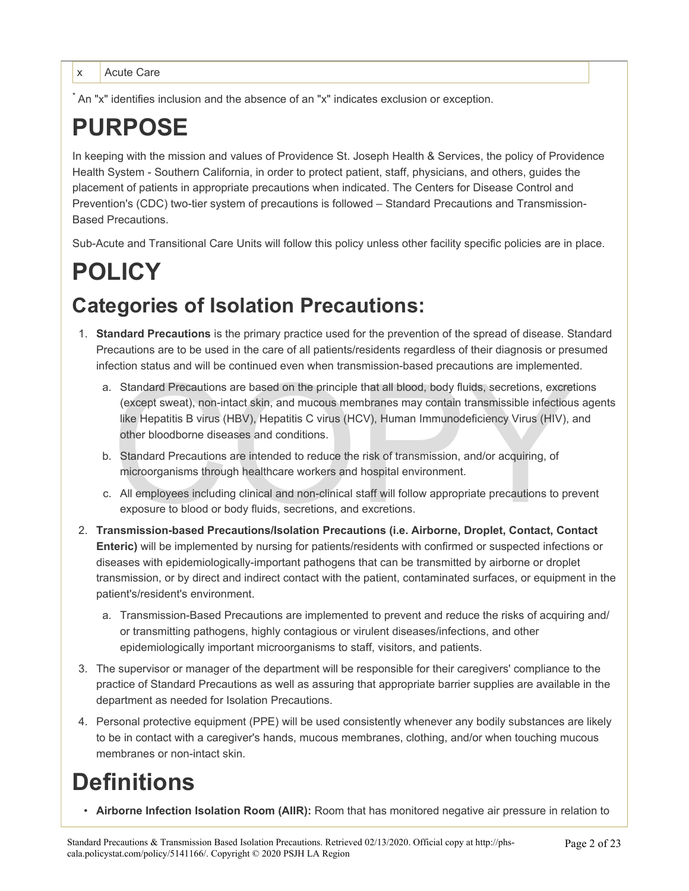x Acute Care

\* An "x" identifies inclusion and the absence of an "x" indicates exclusion or exception.

# **PURPOSE**

In keeping with the mission and values of Providence St. Joseph Health & Services, the policy of Providence Health System - Southern California, in order to protect patient, staff, physicians, and others, guides the placement of patients in appropriate precautions when indicated. The Centers for Disease Control and Prevention's (CDC) two-tier system of precautions is followed – Standard Precautions and Transmission-Based Precautions.

Sub-Acute and Transitional Care Units will follow this policy unless other facility specific policies are in place.

# **POLICY Categories of Isolation Precautions:**

- 1. **Standard Precautions** is the primary practice used for the prevention of the spread of disease. Standard Precautions are to be used in the care of all patients/residents regardless of their diagnosis or presumed infection status and will be continued even when transmission-based precautions are implemented.
	- Standard Precautions are based on the principle that all blood, body fluids, secretions, excret<br>(except sweat), non-intact skin, and mucous membranes may contain transmissible infectious<br>like Hepatitis B virus (HBV), Hepat a. Standard Precautions are based on the principle that all blood, body fluids, secretions, excretions (except sweat), non-intact skin, and mucous membranes may contain transmissible infectious agents like Hepatitis B virus (HBV), Hepatitis C virus (HCV), Human Immunodeficiency Virus (HIV), and other bloodborne diseases and conditions.
	- b. Standard Precautions are intended to reduce the risk of transmission, and/or acquiring, of microorganisms through healthcare workers and hospital environment.
	- c. All employees including clinical and non-clinical staff will follow appropriate precautions to prevent exposure to blood or body fluids, secretions, and excretions.
- 2. **Transmission-based Precautions/Isolation Precautions (i.e. Airborne, Droplet, Contact, Contact Enteric)** will be implemented by nursing for patients/residents with confirmed or suspected infections or diseases with epidemiologically-important pathogens that can be transmitted by airborne or droplet transmission, or by direct and indirect contact with the patient, contaminated surfaces, or equipment in the patient's/resident's environment.
	- a. Transmission-Based Precautions are implemented to prevent and reduce the risks of acquiring and/ or transmitting pathogens, highly contagious or virulent diseases/infections, and other epidemiologically important microorganisms to staff, visitors, and patients.
- 3. The supervisor or manager of the department will be responsible for their caregivers' compliance to the practice of Standard Precautions as well as assuring that appropriate barrier supplies are available in the department as needed for Isolation Precautions.
- 4. Personal protective equipment (PPE) will be used consistently whenever any bodily substances are likely to be in contact with a caregiver's hands, mucous membranes, clothing, and/or when touching mucous membranes or non-intact skin.

# **Definitions**

• **Airborne Infection Isolation Room (AIIR):** Room that has monitored negative air pressure in relation to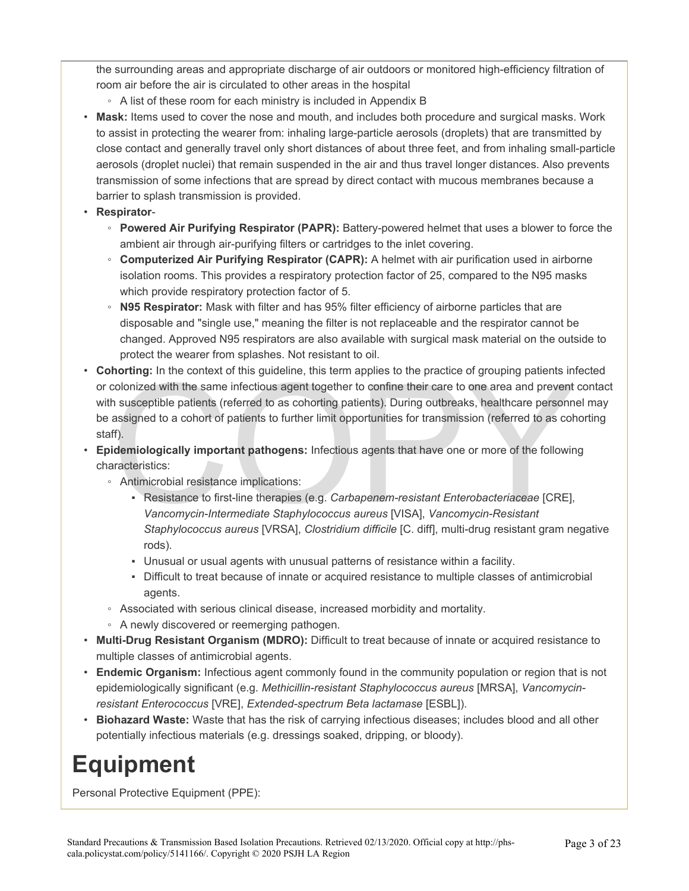the surrounding areas and appropriate discharge of air outdoors or monitored high-efficiency filtration of room air before the air is circulated to other areas in the hospital

- A list of these room for each ministry is included in Appendix B
- **Mask:** Items used to cover the nose and mouth, and includes both procedure and surgical masks. Work to assist in protecting the wearer from: inhaling large-particle aerosols (droplets) that are transmitted by close contact and generally travel only short distances of about three feet, and from inhaling small-particle aerosols (droplet nuclei) that remain suspended in the air and thus travel longer distances. Also prevents transmission of some infections that are spread by direct contact with mucous membranes because a barrier to splash transmission is provided.
- **Respirator**
	- **Powered Air Purifying Respirator (PAPR):** Battery-powered helmet that uses a blower to force the ambient air through air-purifying filters or cartridges to the inlet covering.
	- **Computerized Air Purifying Respirator (CAPR):** A helmet with air purification used in airborne isolation rooms. This provides a respiratory protection factor of 25, compared to the N95 masks which provide respiratory protection factor of 5.
	- **N95 Respirator:** Mask with filter and has 95% filter efficiency of airborne particles that are disposable and "single use," meaning the filter is not replaceable and the respirator cannot be changed. Approved N95 respirators are also available with surgical mask material on the outside to protect the wearer from splashes. Not resistant to oil.
- norting: in the context of this guideline, this term applies to the practice of grouping patients in<br>colonized with the same infectious agent together to confine their care to one area and prevent<br>h susceptible patients (r • **Cohorting:** In the context of this guideline, this term applies to the practice of grouping patients infected or colonized with the same infectious agent together to confine their care to one area and prevent contact with susceptible patients (referred to as cohorting patients). During outbreaks, healthcare personnel may be assigned to a cohort of patients to further limit opportunities for transmission (referred to as cohorting staff).
- **Epidemiologically important pathogens:** Infectious agents that have one or more of the following characteristics:
	- Antimicrobial resistance implications:
		- Resistance to first-line therapies (e.g. *Carbapenem-resistant Enterobacteriaceae* [CRE], *Vancomycin-Intermediate Staphylococcus aureus* [VISA], *Vancomycin-Resistant Staphylococcus aureus* [VRSA], *Clostridium difficile* [C. diff], multi-drug resistant gram negative rods).
		- Unusual or usual agents with unusual patterns of resistance within a facility.
		- Difficult to treat because of innate or acquired resistance to multiple classes of antimicrobial agents.
	- Associated with serious clinical disease, increased morbidity and mortality.
	- A newly discovered or reemerging pathogen.
- **Multi-Drug Resistant Organism (MDRO):** Difficult to treat because of innate or acquired resistance to multiple classes of antimicrobial agents.
- **Endemic Organism:** Infectious agent commonly found in the community population or region that is not epidemiologically significant (e.g. *Methicillin-resistant Staphylococcus aureus* [MRSA], *Vancomycinresistant Enterococcus* [VRE], *Extended-spectrum Beta lactamase* [ESBL]).
- **Biohazard Waste:** Waste that has the risk of carrying infectious diseases; includes blood and all other potentially infectious materials (e.g. dressings soaked, dripping, or bloody).

# **Equipment**

Personal Protective Equipment (PPE):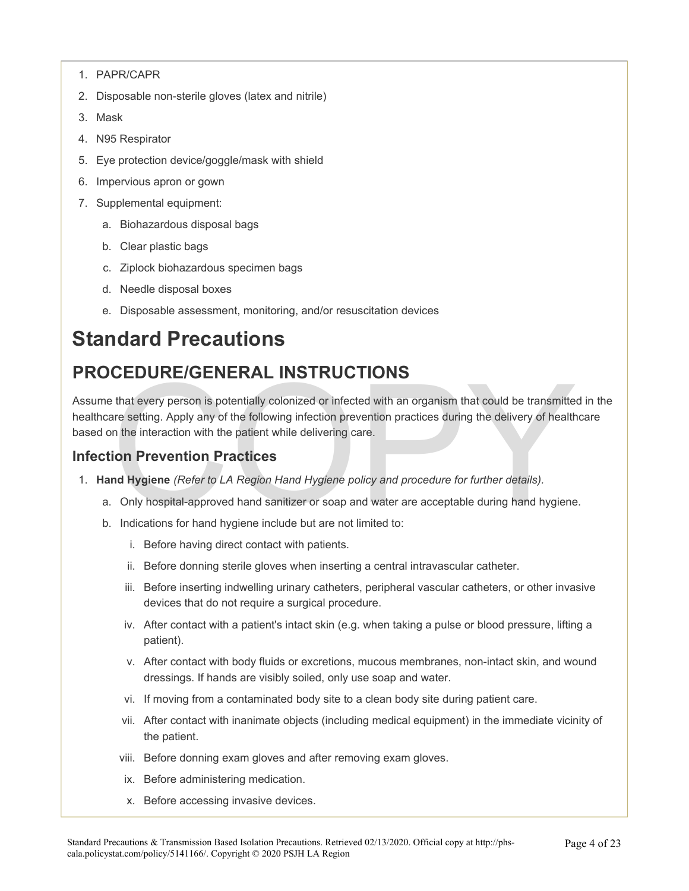- 1. PAPR/CAPR
- 2. Disposable non-sterile gloves (latex and nitrile)
- 3. Mask
- 4. N95 Respirator
- 5. Eye protection device/goggle/mask with shield
- 6. Impervious apron or gown
- 7. Supplemental equipment:
	- a. Biohazardous disposal bags
	- b. Clear plastic bags
	- c. Ziplock biohazardous specimen bags
	- d. Needle disposal boxes
	- e. Disposable assessment, monitoring, and/or resuscitation devices

# **Standard Precautions**

# **PROCEDURE/GENERAL INSTRUCTIONS**

**CEDURE/GENERAL INSTRUCTIONS**<br>that every person is potentially colonized or infected with an organism that could be transmitte-<br>are setting. Apply any of the following infection prevention practices during the delivery of Assume that every person is potentially colonized or infected with an organism that could be transmitted in the healthcare setting. Apply any of the following infection prevention practices during the delivery of healthcare based on the interaction with the patient while delivering care.

#### **Infection Prevention Practices**

- 1. **Hand Hygiene** *(Refer to LA Region Hand Hygiene policy and procedure for further details).* 
	- a. Only hospital-approved hand sanitizer or soap and water are acceptable during hand hygiene.
	- b. Indications for hand hygiene include but are not limited to:
		- i. Before having direct contact with patients.
		- ii. Before donning sterile gloves when inserting a central intravascular catheter.
		- iii. Before inserting indwelling urinary catheters, peripheral vascular catheters, or other invasive devices that do not require a surgical procedure.
		- iv. After contact with a patient's intact skin (e.g. when taking a pulse or blood pressure, lifting a patient).
		- v. After contact with body fluids or excretions, mucous membranes, non-intact skin, and wound dressings. If hands are visibly soiled, only use soap and water.
		- vi. If moving from a contaminated body site to a clean body site during patient care.
		- vii. After contact with inanimate objects (including medical equipment) in the immediate vicinity of the patient.
		- viii. Before donning exam gloves and after removing exam gloves.
		- ix. Before administering medication.
		- x. Before accessing invasive devices.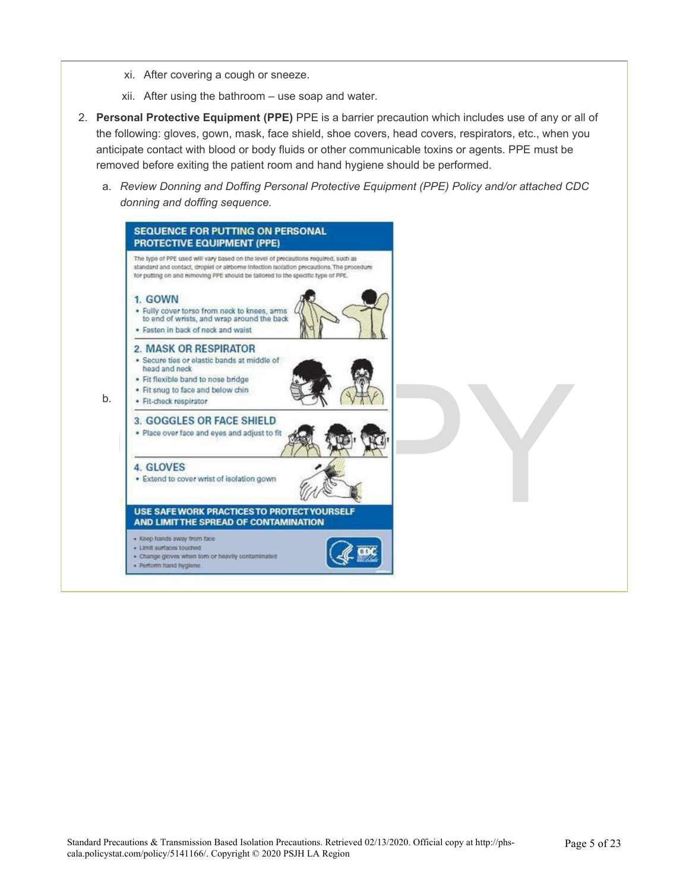- xi. After covering a cough or sneeze.
- xii. After using the bathroom use soap and water.
- 2. **Personal Protective Equipment (PPE)** PPE is a barrier precaution which includes use of any or all of the following: gloves, gown, mask, face shield, shoe covers, head covers, respirators, etc., when you anticipate contact with blood or body fluids or other communicable toxins or agents. PPE must be removed before exiting the patient room and hand hygiene should be performed.
	- a. *Review Donning and Doffing Personal Protective Equipment (PPE) Policy and/or attached CDC donning and doffing sequence.*

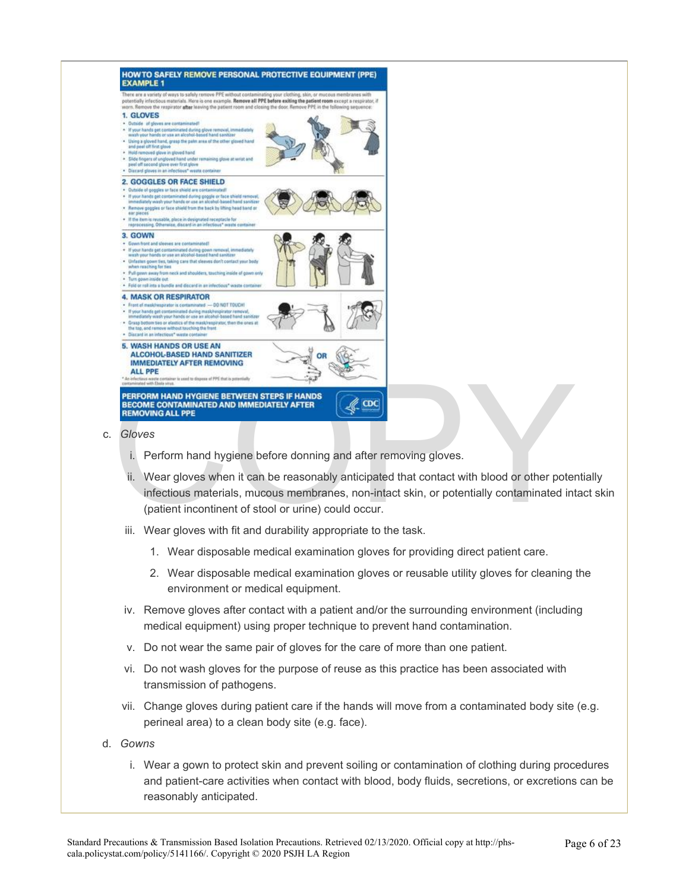

- i. Perform hand hygiene before donning and after removing gloves.
- ii. Wear gloves when it can be reasonably anticipated that contact with blood or other potentially infectious materials, mucous membranes, non-intact skin, or potentially contaminated intact skin (patient incontinent of stool or urine) could occur.
- iii. Wear gloves with fit and durability appropriate to the task.
	- 1. Wear disposable medical examination gloves for providing direct patient care.
	- 2. Wear disposable medical examination gloves or reusable utility gloves for cleaning the environment or medical equipment.
- iv. Remove gloves after contact with a patient and/or the surrounding environment (including medical equipment) using proper technique to prevent hand contamination.
- v. Do not wear the same pair of gloves for the care of more than one patient.
- vi. Do not wash gloves for the purpose of reuse as this practice has been associated with transmission of pathogens.
- vii. Change gloves during patient care if the hands will move from a contaminated body site (e.g. perineal area) to a clean body site (e.g. face).
- d. *Gowns* 
	- i. Wear a gown to protect skin and prevent soiling or contamination of clothing during procedures and patient-care activities when contact with blood, body fluids, secretions, or excretions can be reasonably anticipated.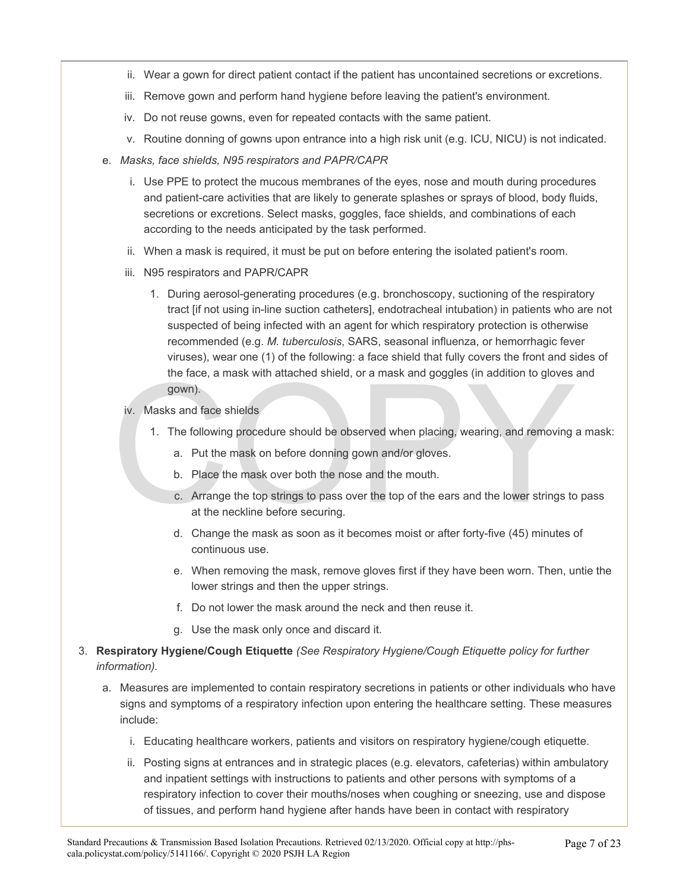- ii. Wear a gown for direct patient contact if the patient has uncontained secretions or excretions.
- iii. Remove gown and perform hand hygiene before leaving the patient's environment.
- iv. Do not reuse gowns, even for repeated contacts with the same patient.
- v. Routine donning of gowns upon entrance into a high risk unit (e.g. ICU, NICU) is not indicated.
- e. *Masks, face shields, N95 respirators and PAPR/CAPR* 
	- i. Use PPE to protect the mucous membranes of the eyes, nose and mouth during procedures and patient-care activities that are likely to generate splashes or sprays of blood, body fluids, secretions or excretions. Select masks, goggles, face shields, and combinations of each according to the needs anticipated by the task performed.
	- ii. When a mask is required, it must be put on before entering the isolated patient's room.
	- iii. N95 respirators and PAPR/CAPR
		- 1. During aerosol-generating procedures (e.g. bronchoscopy, suctioning of the respiratory tract [if not using in-line suction catheters], endotracheal intubation) in patients who are not suspected of being infected with an agent for which respiratory protection is otherwise recommended (e.g. *M. tuberculosis*, SARS, seasonal influenza, or hemorrhagic fever viruses), wear one (1) of the following: a face shield that fully covers the front and sides of the face, a mask with attached shield, or a mask and goggles (in addition to gloves and gown).
	- iv. Masks and face shields
		- 1. The following procedure should be observed when placing, wearing, and removing a mask:
			- a. Put the mask on before donning gown and/or gloves.
			- b. Place the mask over both the nose and the mouth.
	- the face, a mask with attached shield, or a mask and goggles (in addition to gloves<br>gown).<br>iv. Masks and face shields<br>1. The following procedure should be observed when placing, wearing, and removing<br>in a. Put the mask on c. Arrange the top strings to pass over the top of the ears and the lower strings to pass at the neckline before securing.
		- d. Change the mask as soon as it becomes moist or after forty-five (45) minutes of continuous use.
		- e. When removing the mask, remove gloves first if they have been worn. Then, untie the lower strings and then the upper strings.
		- f. Do not lower the mask around the neck and then reuse it.
		- g. Use the mask only once and discard it.
- 3. **Respiratory Hygiene/Cough Etiquette** *(See Respiratory Hygiene/Cough Etiquette policy for further information).* 
	- a. Measures are implemented to contain respiratory secretions in patients or other individuals who have signs and symptoms of a respiratory infection upon entering the healthcare setting. These measures include:
		- i. Educating healthcare workers, patients and visitors on respiratory hygiene/cough etiquette.
		- ii. Posting signs at entrances and in strategic places (e.g. elevators, cafeterias) within ambulatory and inpatient settings with instructions to patients and other persons with symptoms of a respiratory infection to cover their mouths/noses when coughing or sneezing, use and dispose of tissues, and perform hand hygiene after hands have been in contact with respiratory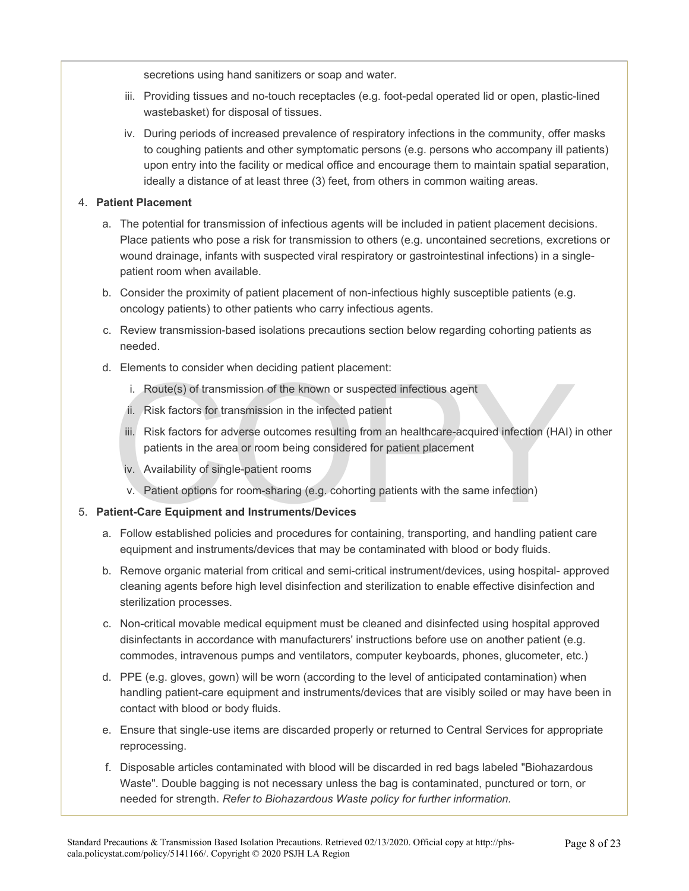secretions using hand sanitizers or soap and water.

- iii. Providing tissues and no-touch receptacles (e.g. foot-pedal operated lid or open, plastic-lined wastebasket) for disposal of tissues.
- iv. During periods of increased prevalence of respiratory infections in the community, offer masks to coughing patients and other symptomatic persons (e.g. persons who accompany ill patients) upon entry into the facility or medical office and encourage them to maintain spatial separation, ideally a distance of at least three (3) feet, from others in common waiting areas.

#### 4. **Patient Placement**

- a. The potential for transmission of infectious agents will be included in patient placement decisions. Place patients who pose a risk for transmission to others (e.g. uncontained secretions, excretions or wound drainage, infants with suspected viral respiratory or gastrointestinal infections) in a singlepatient room when available.
- b. Consider the proximity of patient placement of non-infectious highly susceptible patients (e.g. oncology patients) to other patients who carry infectious agents.
- c. Review transmission-based isolations precautions section below regarding cohorting patients as needed.
- d. Elements to consider when deciding patient placement:
	- i. Route(s) of transmission of the known or suspected infectious agent
	- ii. Risk factors for transmission in the infected patient
	- i. Route(s) of transmission of the known or suspected infectious agent<br>ii. Risk factors for transmission in the infected patient<br>iii. Risk factors for transmission in the infected patient<br>iii. Risk factors for adverse outc iii. Risk factors for adverse outcomes resulting from an healthcare-acquired infection (HAI) in other patients in the area or room being considered for patient placement
		- iv. Availability of single-patient rooms
		- v. Patient options for room-sharing (e.g. cohorting patients with the same infection)

#### 5. **Patient-Care Equipment and Instruments/Devices**

- a. Follow established policies and procedures for containing, transporting, and handling patient care equipment and instruments/devices that may be contaminated with blood or body fluids.
- b. Remove organic material from critical and semi-critical instrument/devices, using hospital- approved cleaning agents before high level disinfection and sterilization to enable effective disinfection and sterilization processes.
- c. Non-critical movable medical equipment must be cleaned and disinfected using hospital approved disinfectants in accordance with manufacturers' instructions before use on another patient (e.g. commodes, intravenous pumps and ventilators, computer keyboards, phones, glucometer, etc.)
- d. PPE (e.g. gloves, gown) will be worn (according to the level of anticipated contamination) when handling patient-care equipment and instruments/devices that are visibly soiled or may have been in contact with blood or body fluids.
- e. Ensure that single-use items are discarded properly or returned to Central Services for appropriate reprocessing.
- f. Disposable articles contaminated with blood will be discarded in red bags labeled "Biohazardous Waste". Double bagging is not necessary unless the bag is contaminated, punctured or torn, or needed for strength. *Refer to Biohazardous Waste policy for further information.*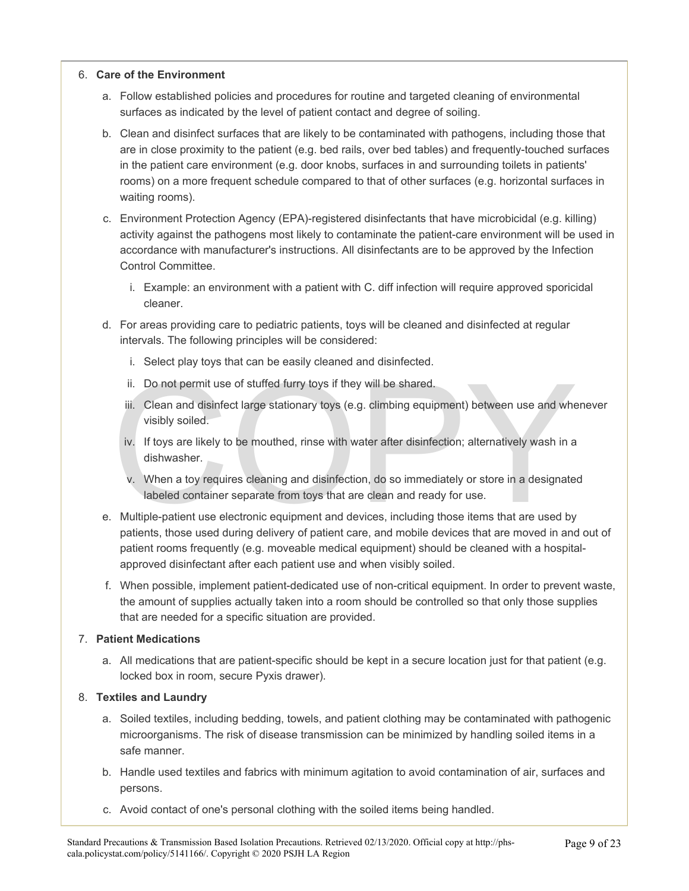#### 6. **Care of the Environment**

- a. Follow established policies and procedures for routine and targeted cleaning of environmental surfaces as indicated by the level of patient contact and degree of soiling.
- b. Clean and disinfect surfaces that are likely to be contaminated with pathogens, including those that are in close proximity to the patient (e.g. bed rails, over bed tables) and frequently-touched surfaces in the patient care environment (e.g. door knobs, surfaces in and surrounding toilets in patients' rooms) on a more frequent schedule compared to that of other surfaces (e.g. horizontal surfaces in waiting rooms).
- c. Environment Protection Agency (EPA)-registered disinfectants that have microbicidal (e.g. killing) activity against the pathogens most likely to contaminate the patient-care environment will be used in accordance with manufacturer's instructions. All disinfectants are to be approved by the Infection Control Committee.
	- i. Example: an environment with a patient with C. diff infection will require approved sporicidal cleaner.
- d. For areas providing care to pediatric patients, toys will be cleaned and disinfected at regular intervals. The following principles will be considered:
	- i. Select play toys that can be easily cleaned and disinfected.
	- ii. Do not permit use of stuffed furry toys if they will be shared.
	- iii. Clean and disinfect large stationary toys (e.g. climbing equipment) between use and whenever visibly soiled.
	- iv. If toys are likely to be mouthed, rinse with water after disinfection; alternatively wash in a dishwasher.
	- ii. Do not permit use of stuffed furry toys if they will be shared.<br>
	iii. Clean and disinfect large stationary toys (e.g. climbing equipment) between use and whe<br>
	visibly soiled.<br>
	iv. If toys are likely to be mouthed, rins v. When a toy requires cleaning and disinfection, do so immediately or store in a designated labeled container separate from toys that are clean and ready for use.
- e. Multiple-patient use electronic equipment and devices, including those items that are used by patients, those used during delivery of patient care, and mobile devices that are moved in and out of patient rooms frequently (e.g. moveable medical equipment) should be cleaned with a hospitalapproved disinfectant after each patient use and when visibly soiled.
- f. When possible, implement patient-dedicated use of non-critical equipment. In order to prevent waste, the amount of supplies actually taken into a room should be controlled so that only those supplies that are needed for a specific situation are provided.

#### 7. **Patient Medications**

a. All medications that are patient-specific should be kept in a secure location just for that patient (e.g. locked box in room, secure Pyxis drawer).

#### 8. **Textiles and Laundry**

- a. Soiled textiles, including bedding, towels, and patient clothing may be contaminated with pathogenic microorganisms. The risk of disease transmission can be minimized by handling soiled items in a safe manner.
- b. Handle used textiles and fabrics with minimum agitation to avoid contamination of air, surfaces and persons.
- c. Avoid contact of one's personal clothing with the soiled items being handled.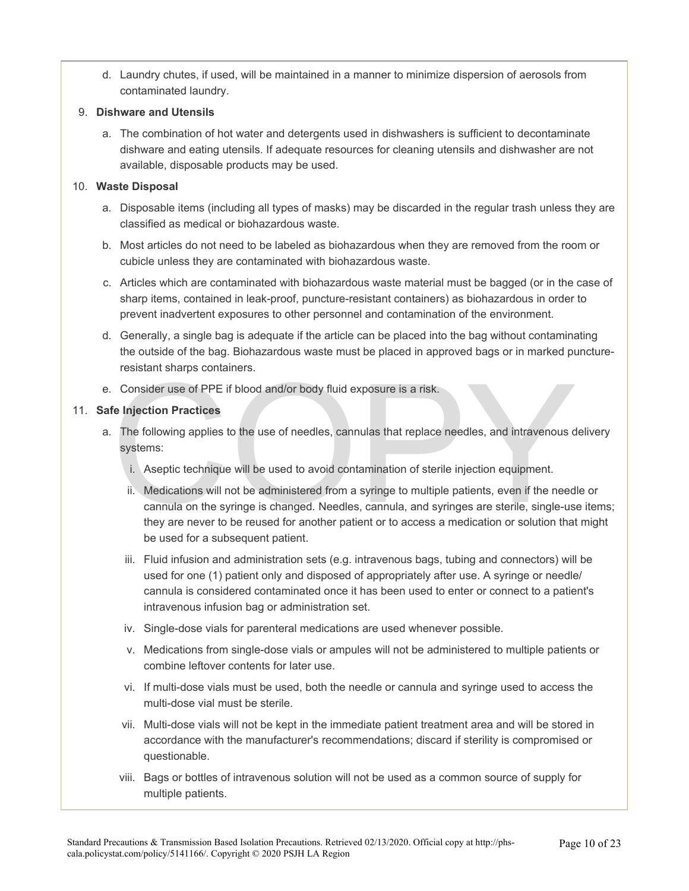d. Laundry chutes, if used, will be maintained in a manner to minimize dispersion of aerosols from contaminated laundry.

#### 9. **Dishware and Utensils**

a. The combination of hot water and detergents used in dishwashers is sufficient to decontaminate dishware and eating utensils. If adequate resources for cleaning utensils and dishwasher are not available, disposable products may be used.

#### 10. **Waste Disposal**

- a. Disposable items (including all types of masks) may be discarded in the regular trash unless they are classified as medical or biohazardous waste.
- b. Most articles do not need to be labeled as biohazardous when they are removed from the room or cubicle unless they are contaminated with biohazardous waste.
- c. Articles which are contaminated with biohazardous waste material must be bagged (or in the case of sharp items, contained in leak-proof, puncture-resistant containers) as biohazardous in order to prevent inadvertent exposures to other personnel and contamination of the environment.
- d. Generally, a single bag is adequate if the article can be placed into the bag without contaminating the outside of the bag. Biohazardous waste must be placed in approved bags or in marked punctureresistant sharps containers.
- e. Consider use of PPE if blood and/or body fluid exposure is a risk.

#### 11. **Safe Injection Practices**

- a. The following applies to the use of needles, cannulas that replace needles, and intravenous delivery systems:
	- i. Aseptic technique will be used to avoid contamination of sterile injection equipment.
- Consider use of PPE if blood and/or body fluid exposure is a risk.<br> **Exercise Enjection Practices**<br>
The following applies to the use of needles, cannulas that replace needles, and intravenous d<br>
systems:<br>
i. Aseptic techni ii. Medications will not be administered from a syringe to multiple patients, even if the needle or cannula on the syringe is changed. Needles, cannula, and syringes are sterile, single-use items; they are never to be reused for another patient or to access a medication or solution that might be used for a subsequent patient.
	- iii. Fluid infusion and administration sets (e.g. intravenous bags, tubing and connectors) will be used for one (1) patient only and disposed of appropriately after use. A syringe or needle/ cannula is considered contaminated once it has been used to enter or connect to a patient's intravenous infusion bag or administration set.
	- iv. Single-dose vials for parenteral medications are used whenever possible.
	- v. Medications from single-dose vials or ampules will not be administered to multiple patients or combine leftover contents for later use.
	- vi. If multi-dose vials must be used, both the needle or cannula and syringe used to access the multi-dose vial must be sterile.
	- vii. Multi-dose vials will not be kept in the immediate patient treatment area and will be stored in accordance with the manufacturer's recommendations; discard if sterility is compromised or questionable.
	- viii. Bags or bottles of intravenous solution will not be used as a common source of supply for multiple patients.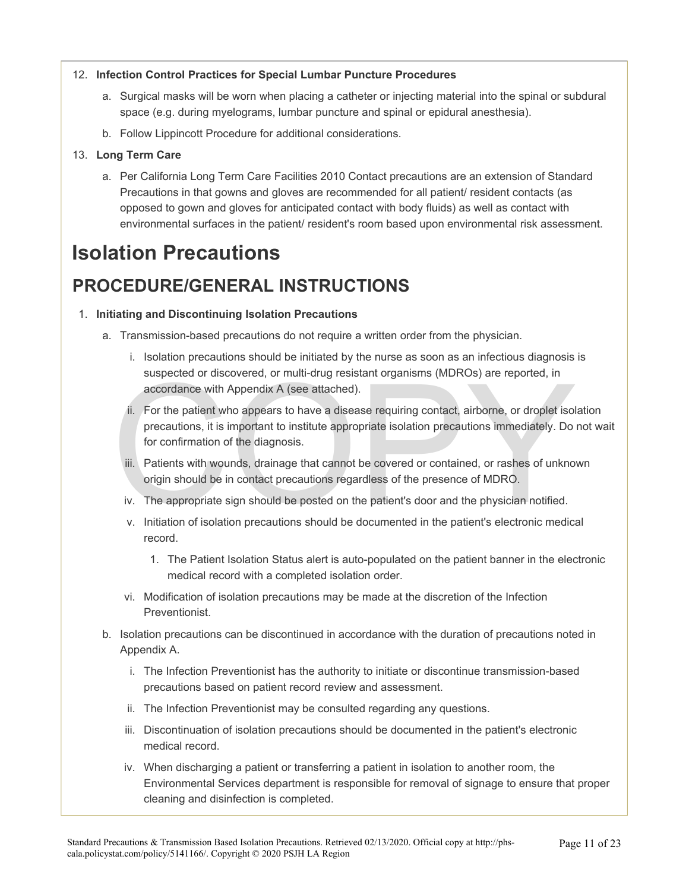#### 12. **Infection Control Practices for Special Lumbar Puncture Procedures**

- a. Surgical masks will be worn when placing a catheter or injecting material into the spinal or subdural space (e.g. during myelograms, lumbar puncture and spinal or epidural anesthesia).
- b. Follow Lippincott Procedure for additional considerations.

#### 13. **Long Term Care**

a. Per California Long Term Care Facilities 2010 Contact precautions are an extension of Standard Precautions in that gowns and gloves are recommended for all patient/ resident contacts (as opposed to gown and gloves for anticipated contact with body fluids) as well as contact with environmental surfaces in the patient/ resident's room based upon environmental risk assessment.

# **Isolation Precautions**

# **PROCEDURE/GENERAL INSTRUCTIONS**

#### 1. **Initiating and Discontinuing Isolation Precautions**

- a. Transmission-based precautions do not require a written order from the physician.
	- i. Isolation precautions should be initiated by the nurse as soon as an infectious diagnosis is suspected or discovered, or multi-drug resistant organisms (MDROs) are reported, in accordance with Appendix A (see attached).
	- suspected or discovered, or multi-drug resistant organisms (MDROs) are reported, in<br>accordance with Appendix A (see attached).<br>ii. For the patient who appears to have a disease requiring contact, airborne, or droplet isol<br> ii. For the patient who appears to have a disease requiring contact, airborne, or droplet isolation precautions, it is important to institute appropriate isolation precautions immediately. Do not wait for confirmation of the diagnosis.
		- iii. Patients with wounds, drainage that cannot be covered or contained, or rashes of unknown origin should be in contact precautions regardless of the presence of MDRO.
		- iv. The appropriate sign should be posted on the patient's door and the physician notified.
		- v. Initiation of isolation precautions should be documented in the patient's electronic medical record.
			- 1. The Patient Isolation Status alert is auto-populated on the patient banner in the electronic medical record with a completed isolation order.
		- vi. Modification of isolation precautions may be made at the discretion of the Infection Preventionist.
- b. Isolation precautions can be discontinued in accordance with the duration of precautions noted in Appendix A.
	- i. The Infection Preventionist has the authority to initiate or discontinue transmission-based precautions based on patient record review and assessment.
	- ii. The Infection Preventionist may be consulted regarding any questions.
	- iii. Discontinuation of isolation precautions should be documented in the patient's electronic medical record.
	- iv. When discharging a patient or transferring a patient in isolation to another room, the Environmental Services department is responsible for removal of signage to ensure that proper cleaning and disinfection is completed.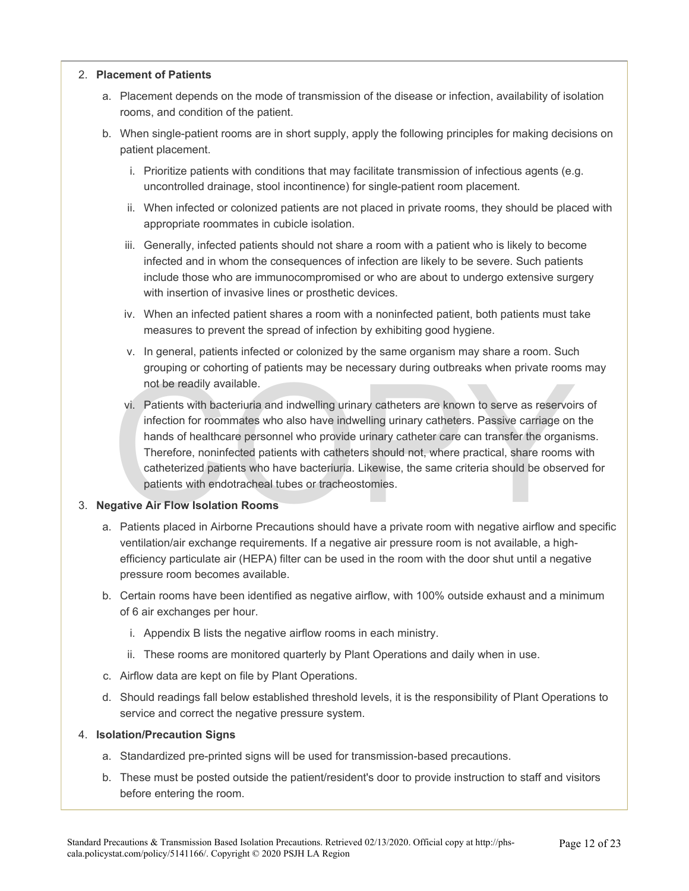#### 2. **Placement of Patients**

- a. Placement depends on the mode of transmission of the disease or infection, availability of isolation rooms, and condition of the patient.
- b. When single-patient rooms are in short supply, apply the following principles for making decisions on patient placement.
	- i. Prioritize patients with conditions that may facilitate transmission of infectious agents (e.g. uncontrolled drainage, stool incontinence) for single-patient room placement.
	- ii. When infected or colonized patients are not placed in private rooms, they should be placed with appropriate roommates in cubicle isolation.
	- iii. Generally, infected patients should not share a room with a patient who is likely to become infected and in whom the consequences of infection are likely to be severe. Such patients include those who are immunocompromised or who are about to undergo extensive surgery with insertion of invasive lines or prosthetic devices.
	- iv. When an infected patient shares a room with a noninfected patient, both patients must take measures to prevent the spread of infection by exhibiting good hygiene.
	- v. In general, patients infected or colonized by the same organism may share a room. Such grouping or cohorting of patients may be necessary during outbreaks when private rooms may not be readily available.
	- grouping or conoraing or panelins may be inceeds and your called both private from<br>not be readily available.<br>vi. Patients with bacteriuria and indwelling urinary catheters are known to serve as reservoir<br>infection for room vi. Patients with bacteriuria and indwelling urinary catheters are known to serve as reservoirs of infection for roommates who also have indwelling urinary catheters. Passive carriage on the hands of healthcare personnel who provide urinary catheter care can transfer the organisms. Therefore, noninfected patients with catheters should not, where practical, share rooms with catheterized patients who have bacteriuria. Likewise, the same criteria should be observed for patients with endotracheal tubes or tracheostomies.

#### 3. **Negative Air Flow Isolation Rooms**

- a. Patients placed in Airborne Precautions should have a private room with negative airflow and specific ventilation/air exchange requirements. If a negative air pressure room is not available, a highefficiency particulate air (HEPA) filter can be used in the room with the door shut until a negative pressure room becomes available.
- b. Certain rooms have been identified as negative airflow, with 100% outside exhaust and a minimum of 6 air exchanges per hour.
	- i. Appendix B lists the negative airflow rooms in each ministry.
	- ii. These rooms are monitored quarterly by Plant Operations and daily when in use.
- c. Airflow data are kept on file by Plant Operations.
- d. Should readings fall below established threshold levels, it is the responsibility of Plant Operations to service and correct the negative pressure system.

#### 4. **Isolation/Precaution Signs**

- a. Standardized pre-printed signs will be used for transmission-based precautions.
- b. These must be posted outside the patient/resident's door to provide instruction to staff and visitors before entering the room.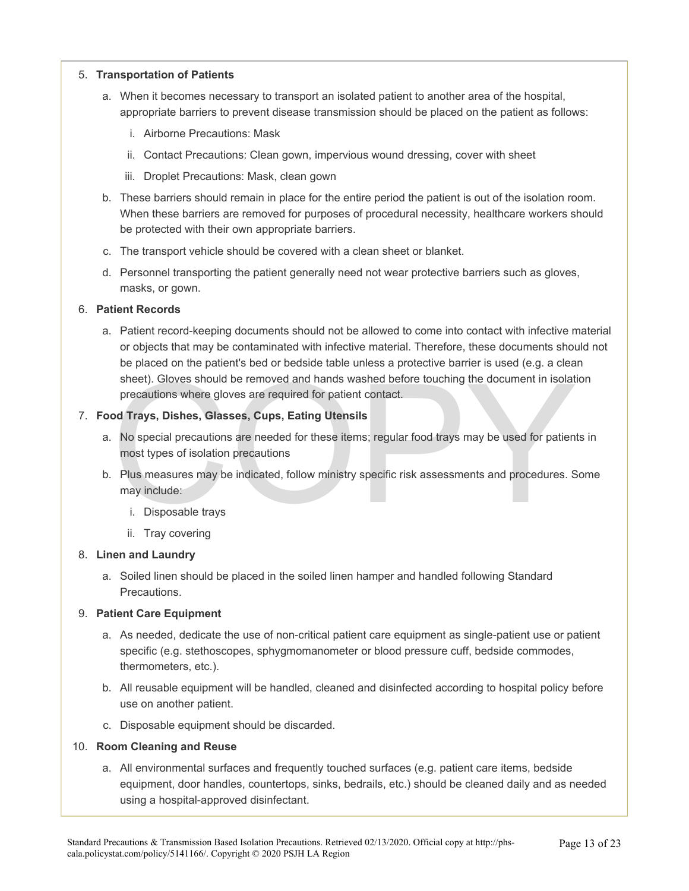#### 5. **Transportation of Patients**

- a. When it becomes necessary to transport an isolated patient to another area of the hospital, appropriate barriers to prevent disease transmission should be placed on the patient as follows:
	- i. Airborne Precautions: Mask
	- ii. Contact Precautions: Clean gown, impervious wound dressing, cover with sheet
	- iii. Droplet Precautions: Mask, clean gown
- b. These barriers should remain in place for the entire period the patient is out of the isolation room. When these barriers are removed for purposes of procedural necessity, healthcare workers should be protected with their own appropriate barriers.
- c. The transport vehicle should be covered with a clean sheet or blanket.
- d. Personnel transporting the patient generally need not wear protective barriers such as gloves, masks, or gown.

#### 6. **Patient Records**

sheet). Gloves should be removed and hands washed before touching the document in isolat<br>precautions where gloves are required for patient contact.<br> **Od Trays, Dishes, Glasses, Cups, Eating Utensils**<br>
No special precaution a. Patient record-keeping documents should not be allowed to come into contact with infective material or objects that may be contaminated with infective material. Therefore, these documents should not be placed on the patient's bed or bedside table unless a protective barrier is used (e.g. a clean sheet). Gloves should be removed and hands washed before touching the document in isolation precautions where gloves are required for patient contact.

#### 7. **Food Trays, Dishes, Glasses, Cups, Eating Utensils**

- a. No special precautions are needed for these items; regular food trays may be used for patients in most types of isolation precautions
- b. Plus measures may be indicated, follow ministry specific risk assessments and procedures. Some may include:
	- i. Disposable trays
	- ii. Tray covering

#### 8. **Linen and Laundry**

a. Soiled linen should be placed in the soiled linen hamper and handled following Standard **Precautions** 

#### 9. **Patient Care Equipment**

- a. As needed, dedicate the use of non-critical patient care equipment as single-patient use or patient specific (e.g. stethoscopes, sphygmomanometer or blood pressure cuff, bedside commodes, thermometers, etc.).
- b. All reusable equipment will be handled, cleaned and disinfected according to hospital policy before use on another patient.
- c. Disposable equipment should be discarded.

#### 10. **Room Cleaning and Reuse**

a. All environmental surfaces and frequently touched surfaces (e.g. patient care items, bedside equipment, door handles, countertops, sinks, bedrails, etc.) should be cleaned daily and as needed using a hospital-approved disinfectant.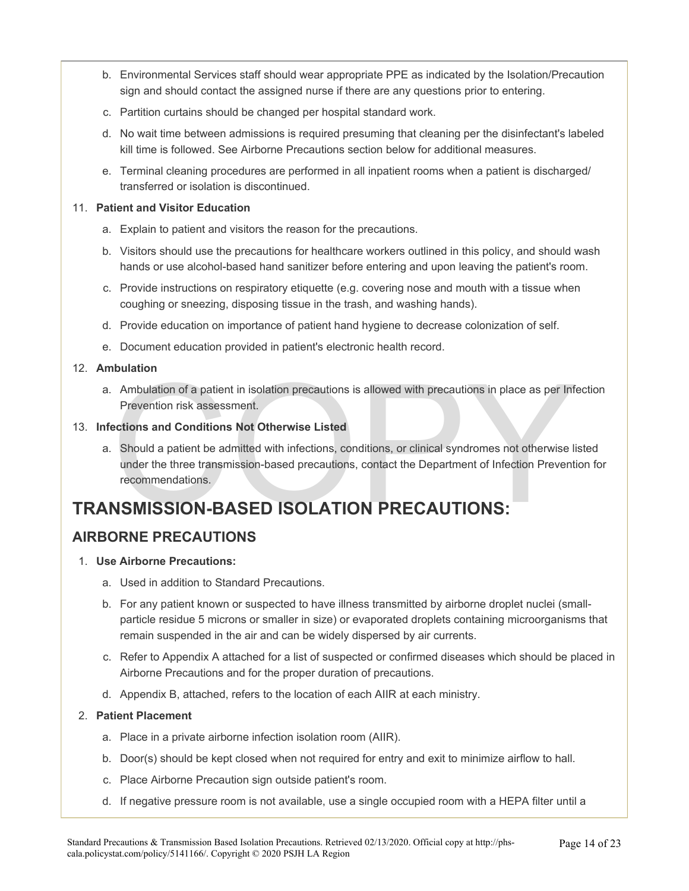- b. Environmental Services staff should wear appropriate PPE as indicated by the Isolation/Precaution sign and should contact the assigned nurse if there are any questions prior to entering.
- c. Partition curtains should be changed per hospital standard work.
- d. No wait time between admissions is required presuming that cleaning per the disinfectant's labeled kill time is followed. See Airborne Precautions section below for additional measures.
- e. Terminal cleaning procedures are performed in all inpatient rooms when a patient is discharged/ transferred or isolation is discontinued.

#### 11. **Patient and Visitor Education**

- a. Explain to patient and visitors the reason for the precautions.
- b. Visitors should use the precautions for healthcare workers outlined in this policy, and should wash hands or use alcohol-based hand sanitizer before entering and upon leaving the patient's room.
- c. Provide instructions on respiratory etiquette (e.g. covering nose and mouth with a tissue when coughing or sneezing, disposing tissue in the trash, and washing hands).
- d. Provide education on importance of patient hand hygiene to decrease colonization of self.
- e. Document education provided in patient's electronic health record.

#### 12. **Ambulation**

a. Ambulation of a patient in isolation precautions is allowed with precautions in place as per Infection Prevention risk assessment.

#### 13. **Infections and Conditions Not Otherwise Listed**

Ambulation<br>
Ambulation of a patient in isolation precautions is allowed with precautions in place as per Infervention risk assessment.<br>
ections and Conditions Not Otherwise Listed<br>
Should a patient be admitted with infecti a. Should a patient be admitted with infections, conditions, or clinical syndromes not otherwise listed under the three transmission-based precautions, contact the Department of Infection Prevention for recommendations.

# **TRANSMISSION-BASED ISOLATION PRECAUTIONS:**

## **AIRBORNE PRECAUTIONS**

#### 1. **Use Airborne Precautions:**

- a. Used in addition to Standard Precautions.
- b. For any patient known or suspected to have illness transmitted by airborne droplet nuclei (smallparticle residue 5 microns or smaller in size) or evaporated droplets containing microorganisms that remain suspended in the air and can be widely dispersed by air currents.
- c. Refer to Appendix A attached for a list of suspected or confirmed diseases which should be placed in Airborne Precautions and for the proper duration of precautions.
- d. Appendix B, attached, refers to the location of each AIIR at each ministry.

#### 2. **Patient Placement**

- a. Place in a private airborne infection isolation room (AIIR).
- b. Door(s) should be kept closed when not required for entry and exit to minimize airflow to hall.
- c. Place Airborne Precaution sign outside patient's room.
- d. If negative pressure room is not available, use a single occupied room with a HEPA filter until a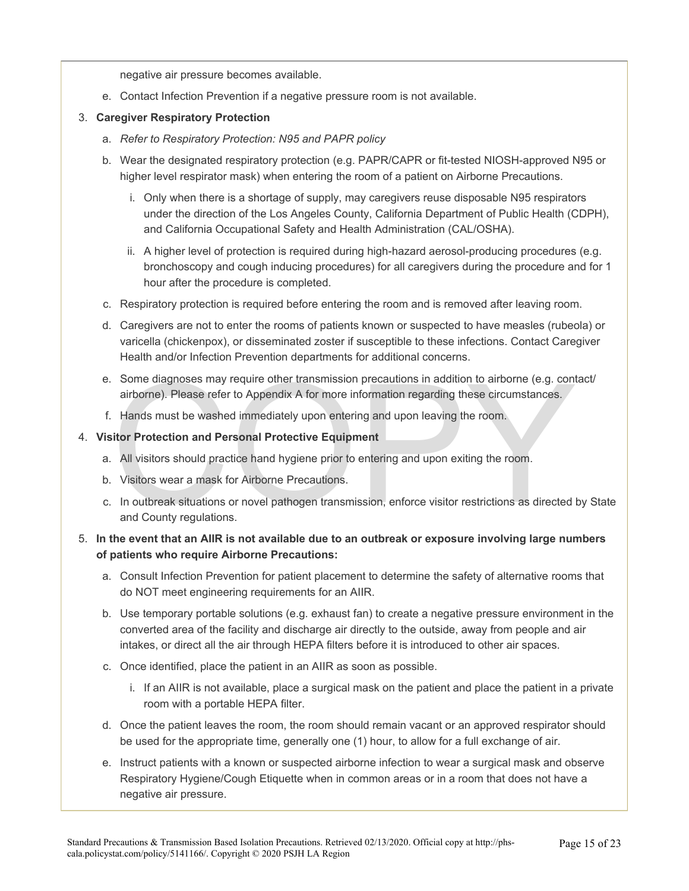negative air pressure becomes available.

e. Contact Infection Prevention if a negative pressure room is not available.

#### 3. **Caregiver Respiratory Protection**

- a. *Refer to Respiratory Protection: N95 and PAPR policy*
- b. Wear the designated respiratory protection (e.g. PAPR/CAPR or fit-tested NIOSH-approved N95 or higher level respirator mask) when entering the room of a patient on Airborne Precautions.
	- i. Only when there is a shortage of supply, may caregivers reuse disposable N95 respirators under the direction of the Los Angeles County, California Department of Public Health (CDPH), and California Occupational Safety and Health Administration (CAL/OSHA).
	- ii. A higher level of protection is required during high-hazard aerosol-producing procedures (e.g. bronchoscopy and cough inducing procedures) for all caregivers during the procedure and for 1 hour after the procedure is completed.
- c. Respiratory protection is required before entering the room and is removed after leaving room.
- d. Caregivers are not to enter the rooms of patients known or suspected to have measles (rubeola) or varicella (chickenpox), or disseminated zoster if susceptible to these infections. Contact Caregiver Health and/or Infection Prevention departments for additional concerns.
- Some diagnoses may require other transmission precautions in addition to airborne (e.g. contairborne). Please refer to Appendix A for more information regarding these circumstances.<br>
Hands must be washed immediately upon e e. Some diagnoses may require other transmission precautions in addition to airborne (e.g. contact/ airborne). Please refer to Appendix A for more information regarding these circumstances.
- f. Hands must be washed immediately upon entering and upon leaving the room.

#### 4. **Visitor Protection and Personal Protective Equipment**

- a. All visitors should practice hand hygiene prior to entering and upon exiting the room.
- b. Visitors wear a mask for Airborne Precautions.
- c. In outbreak situations or novel pathogen transmission, enforce visitor restrictions as directed by State and County regulations.

#### 5. **In the event that an AIIR is not available due to an outbreak or exposure involving large numbers of patients who require Airborne Precautions:**

- a. Consult Infection Prevention for patient placement to determine the safety of alternative rooms that do NOT meet engineering requirements for an AIIR.
- b. Use temporary portable solutions (e.g. exhaust fan) to create a negative pressure environment in the converted area of the facility and discharge air directly to the outside, away from people and air intakes, or direct all the air through HEPA filters before it is introduced to other air spaces.
- c. Once identified, place the patient in an AIIR as soon as possible.
	- i. If an AIIR is not available, place a surgical mask on the patient and place the patient in a private room with a portable HEPA filter.
- d. Once the patient leaves the room, the room should remain vacant or an approved respirator should be used for the appropriate time, generally one (1) hour, to allow for a full exchange of air.
- e. Instruct patients with a known or suspected airborne infection to wear a surgical mask and observe Respiratory Hygiene/Cough Etiquette when in common areas or in a room that does not have a negative air pressure.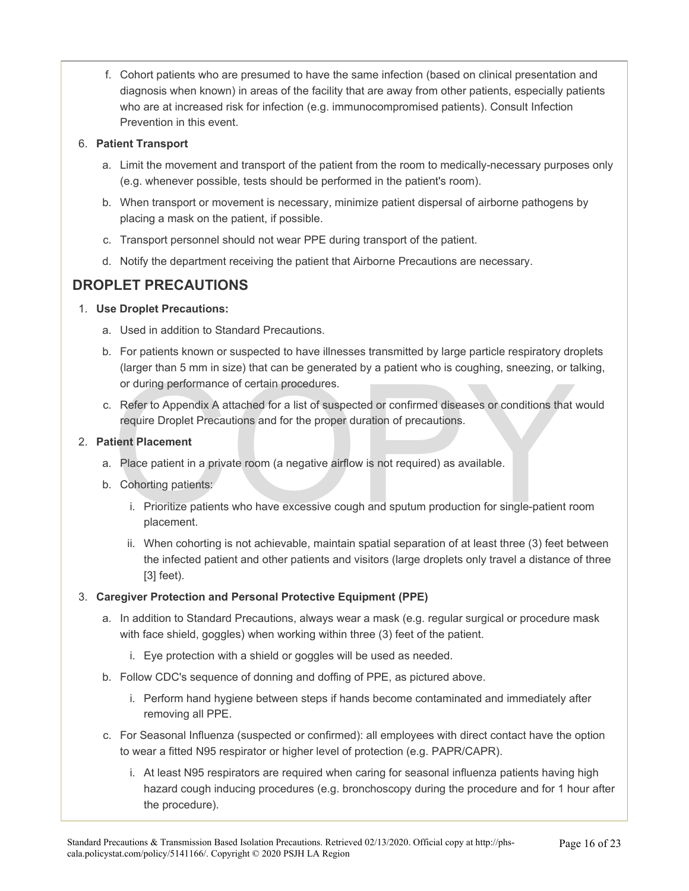f. Cohort patients who are presumed to have the same infection (based on clinical presentation and diagnosis when known) in areas of the facility that are away from other patients, especially patients who are at increased risk for infection (e.g. immunocompromised patients). Consult Infection Prevention in this event.

#### 6. **Patient Transport**

- a. Limit the movement and transport of the patient from the room to medically-necessary purposes only (e.g. whenever possible, tests should be performed in the patient's room).
- b. When transport or movement is necessary, minimize patient dispersal of airborne pathogens by placing a mask on the patient, if possible.
- c. Transport personnel should not wear PPE during transport of the patient.
- d. Notify the department receiving the patient that Airborne Precautions are necessary.

## **DROPLET PRECAUTIONS**

#### 1. **Use Droplet Precautions:**

- a. Used in addition to Standard Precautions.
- b. For patients known or suspected to have illnesses transmitted by large particle respiratory droplets (larger than 5 mm in size) that can be generated by a patient who is coughing, sneezing, or talking, or during performance of certain procedures.
- The control of the properties of the procedures.<br>
Refer to Appendix A attached for a list of suspected or confirmed diseases or conditions that require Droplet Precautions and for the proper duration of precautions.<br> **Exam** c. Refer to Appendix A attached for a list of suspected or confirmed diseases or conditions that would require Droplet Precautions and for the proper duration of precautions.

#### 2. **Patient Placement**

- a. Place patient in a private room (a negative airflow is not required) as available.
- b. Cohorting patients:
	- i. Prioritize patients who have excessive cough and sputum production for single-patient room placement.
	- ii. When cohorting is not achievable, maintain spatial separation of at least three (3) feet between the infected patient and other patients and visitors (large droplets only travel a distance of three [3] feet).

#### 3. **Caregiver Protection and Personal Protective Equipment (PPE)**

- a. In addition to Standard Precautions, always wear a mask (e.g. regular surgical or procedure mask with face shield, goggles) when working within three (3) feet of the patient.
	- i. Eye protection with a shield or goggles will be used as needed.
- b. Follow CDC's sequence of donning and doffing of PPE, as pictured above.
	- i. Perform hand hygiene between steps if hands become contaminated and immediately after removing all PPE.
- c. For Seasonal Influenza (suspected or confirmed): all employees with direct contact have the option to wear a fitted N95 respirator or higher level of protection (e.g. PAPR/CAPR).
	- i. At least N95 respirators are required when caring for seasonal influenza patients having high hazard cough inducing procedures (e.g. bronchoscopy during the procedure and for 1 hour after the procedure).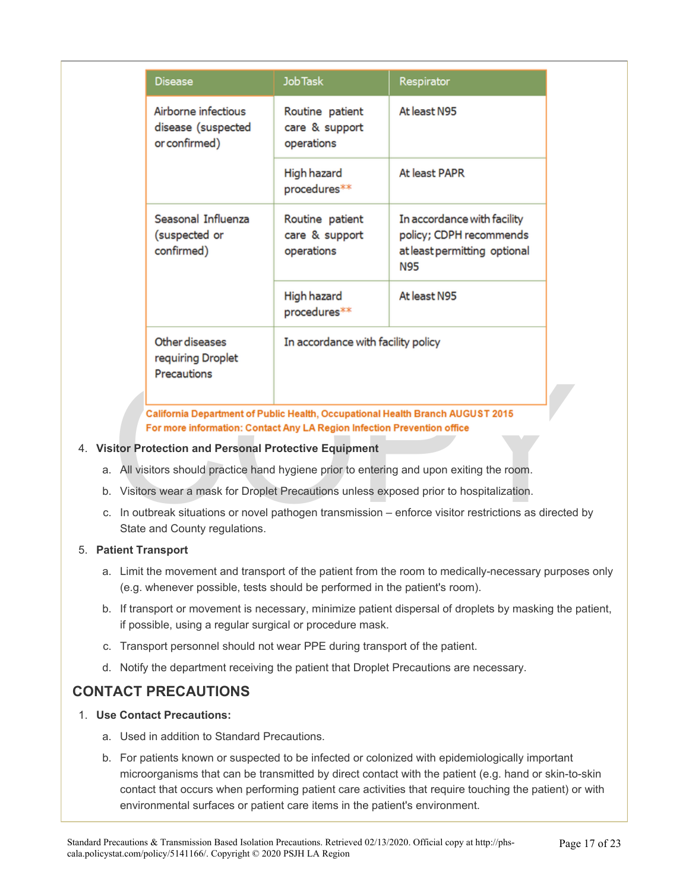| <b>Disease</b>                                                                                                                                            | Job Task                                        | Respirator                                                                                             |
|-----------------------------------------------------------------------------------------------------------------------------------------------------------|-------------------------------------------------|--------------------------------------------------------------------------------------------------------|
| Airborne infectious<br>disease (suspected<br>or confirmed)                                                                                                | Routine patient<br>care & support<br>operations | At least N95                                                                                           |
|                                                                                                                                                           | High hazard<br>procedures**                     | At least PAPR                                                                                          |
| Seasonal Influenza<br>(suspected or<br>confirmed)                                                                                                         | Routine patient<br>care & support<br>operations | In accordance with facility<br>policy; CDPH recommends<br>at least permitting optional<br><b>N95</b>   |
|                                                                                                                                                           | High hazard<br>procedures**                     | At least N95                                                                                           |
| Other diseases<br>requiring Droplet<br>Precautions                                                                                                        | In accordance with facility policy              |                                                                                                        |
| California Department of Public Health, Occupational Health Branch AUGUST 2015<br>For more information: Contact Any LA Region Infection Prevention office |                                                 |                                                                                                        |
| <b>isitor Protection and Personal Protective Equipment</b>                                                                                                |                                                 |                                                                                                        |
|                                                                                                                                                           |                                                 | a. All visitors should practice hand hygiene prior to entering and upon exiting the room.              |
|                                                                                                                                                           |                                                 | b. Visitors wear a mask for Droplet Precautions unless exposed prior to hospitalization.               |
| State and County regulations.                                                                                                                             |                                                 | c. In outbreak situations or novel pathogen transmission – enforce visitor restrictions as directed by |

#### 4. **Visitor Protection and Personal Protective Equipment**

- 
- b. Visitors wear a mask for Droplet Precautions unless exposed prior to hospitalization.
- c. In outbreak situations or novel pathogen transmission enforce visitor restrictions as directed by State and County regulations.

#### 5. **Patient Transport**

- a. Limit the movement and transport of the patient from the room to medically-necessary purposes only (e.g. whenever possible, tests should be performed in the patient's room).
- b. If transport or movement is necessary, minimize patient dispersal of droplets by masking the patient, if possible, using a regular surgical or procedure mask.
- c. Transport personnel should not wear PPE during transport of the patient.
- d. Notify the department receiving the patient that Droplet Precautions are necessary.

## **CONTACT PRECAUTIONS**

#### 1. **Use Contact Precautions:**

- a. Used in addition to Standard Precautions.
- b. For patients known or suspected to be infected or colonized with epidemiologically important microorganisms that can be transmitted by direct contact with the patient (e.g. hand or skin-to-skin contact that occurs when performing patient care activities that require touching the patient) or with environmental surfaces or patient care items in the patient's environment.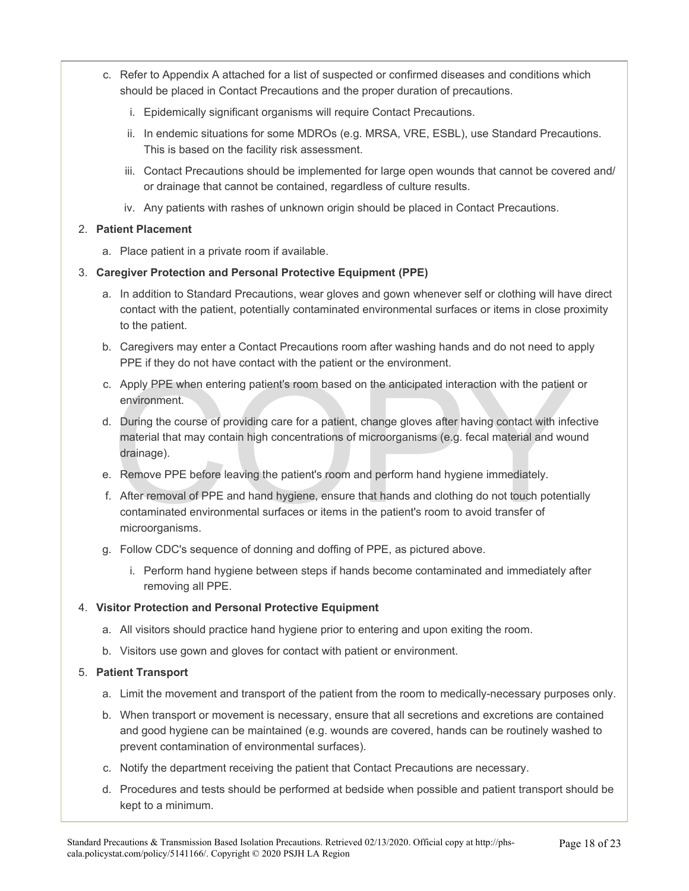- c. Refer to Appendix A attached for a list of suspected or confirmed diseases and conditions which should be placed in Contact Precautions and the proper duration of precautions.
	- i. Epidemically significant organisms will require Contact Precautions.
	- ii. In endemic situations for some MDROs (e.g. MRSA, VRE, ESBL), use Standard Precautions. This is based on the facility risk assessment.
	- iii. Contact Precautions should be implemented for large open wounds that cannot be covered and/ or drainage that cannot be contained, regardless of culture results.
	- iv. Any patients with rashes of unknown origin should be placed in Contact Precautions.

#### 2. **Patient Placement**

a. Place patient in a private room if available.

#### 3. **Caregiver Protection and Personal Protective Equipment (PPE)**

- a. In addition to Standard Precautions, wear gloves and gown whenever self or clothing will have direct contact with the patient, potentially contaminated environmental surfaces or items in close proximity to the patient.
- b. Caregivers may enter a Contact Precautions room after washing hands and do not need to apply PPE if they do not have contact with the patient or the environment.
- c. Apply PPE when entering patient's room based on the anticipated interaction with the patient or environment.
- Apply PPE when entering patient's room based on the anticipated interaction with the patient<br>environment.<br>During the course of providing care for a patient, change gloves after having contact with infer<br>material that may c d. During the course of providing care for a patient, change gloves after having contact with infective material that may contain high concentrations of microorganisms (e.g. fecal material and wound drainage).
- e. Remove PPE before leaving the patient's room and perform hand hygiene immediately.
- f. After removal of PPE and hand hygiene, ensure that hands and clothing do not touch potentially contaminated environmental surfaces or items in the patient's room to avoid transfer of microorganisms.
- g. Follow CDC's sequence of donning and doffing of PPE, as pictured above.
	- i. Perform hand hygiene between steps if hands become contaminated and immediately after removing all PPE.

#### 4. **Visitor Protection and Personal Protective Equipment**

- a. All visitors should practice hand hygiene prior to entering and upon exiting the room.
- b. Visitors use gown and gloves for contact with patient or environment.

#### 5. **Patient Transport**

- a. Limit the movement and transport of the patient from the room to medically-necessary purposes only.
- b. When transport or movement is necessary, ensure that all secretions and excretions are contained and good hygiene can be maintained (e.g. wounds are covered, hands can be routinely washed to prevent contamination of environmental surfaces).
- c. Notify the department receiving the patient that Contact Precautions are necessary.
- d. Procedures and tests should be performed at bedside when possible and patient transport should be kept to a minimum.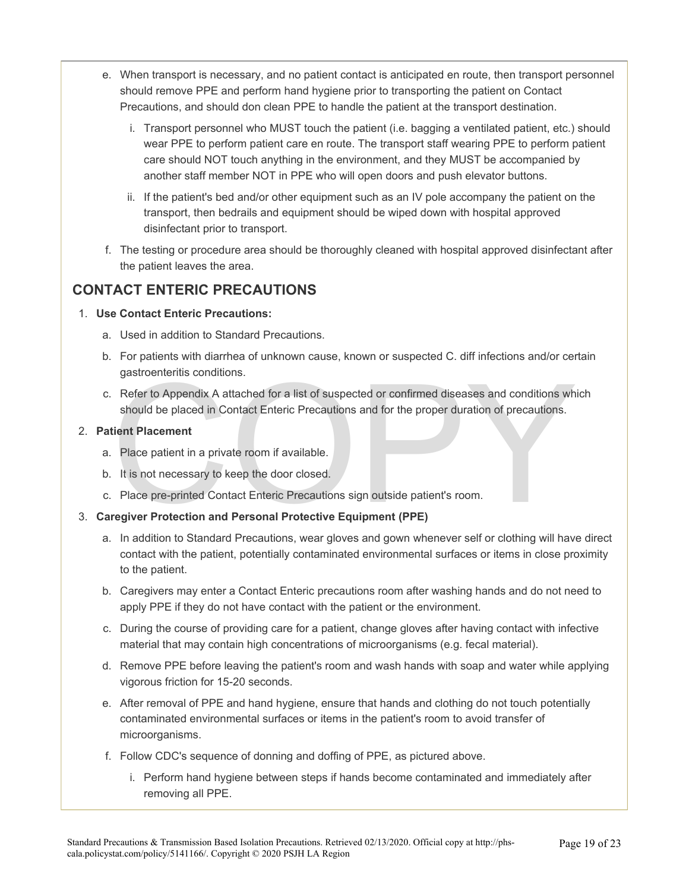- e. When transport is necessary, and no patient contact is anticipated en route, then transport personnel should remove PPE and perform hand hygiene prior to transporting the patient on Contact Precautions, and should don clean PPE to handle the patient at the transport destination.
	- i. Transport personnel who MUST touch the patient (i.e. bagging a ventilated patient, etc.) should wear PPE to perform patient care en route. The transport staff wearing PPE to perform patient care should NOT touch anything in the environment, and they MUST be accompanied by another staff member NOT in PPE who will open doors and push elevator buttons.
	- ii. If the patient's bed and/or other equipment such as an IV pole accompany the patient on the transport, then bedrails and equipment should be wiped down with hospital approved disinfectant prior to transport.
- f. The testing or procedure area should be thoroughly cleaned with hospital approved disinfectant after the patient leaves the area.

#### **CONTACT ENTERIC PRECAUTIONS**

#### 1. **Use Contact Enteric Precautions:**

- a. Used in addition to Standard Precautions.
- b. For patients with diarrhea of unknown cause, known or suspected C. diff infections and/or certain gastroenteritis conditions.
- gastroenteritis conditions.<br>
Refer to Appendix A attached for a list of suspected or confirmed diseases and conditions wh<br>
should be placed in Contact Enteric Precautions and for the proper duration of precautions.<br>
tient c. Refer to Appendix A attached for a list of suspected or confirmed diseases and conditions which should be placed in Contact Enteric Precautions and for the proper duration of precautions.

#### 2. **Patient Placement**

- a. Place patient in a private room if available.
- b. It is not necessary to keep the door closed.
- c. Place pre-printed Contact Enteric Precautions sign outside patient's room.

#### 3. **Caregiver Protection and Personal Protective Equipment (PPE)**

- a. In addition to Standard Precautions, wear gloves and gown whenever self or clothing will have direct contact with the patient, potentially contaminated environmental surfaces or items in close proximity to the patient.
- b. Caregivers may enter a Contact Enteric precautions room after washing hands and do not need to apply PPE if they do not have contact with the patient or the environment.
- c. During the course of providing care for a patient, change gloves after having contact with infective material that may contain high concentrations of microorganisms (e.g. fecal material).
- d. Remove PPE before leaving the patient's room and wash hands with soap and water while applying vigorous friction for 15-20 seconds.
- e. After removal of PPE and hand hygiene, ensure that hands and clothing do not touch potentially contaminated environmental surfaces or items in the patient's room to avoid transfer of microorganisms.
- f. Follow CDC's sequence of donning and doffing of PPE, as pictured above.
	- i. Perform hand hygiene between steps if hands become contaminated and immediately after removing all PPE.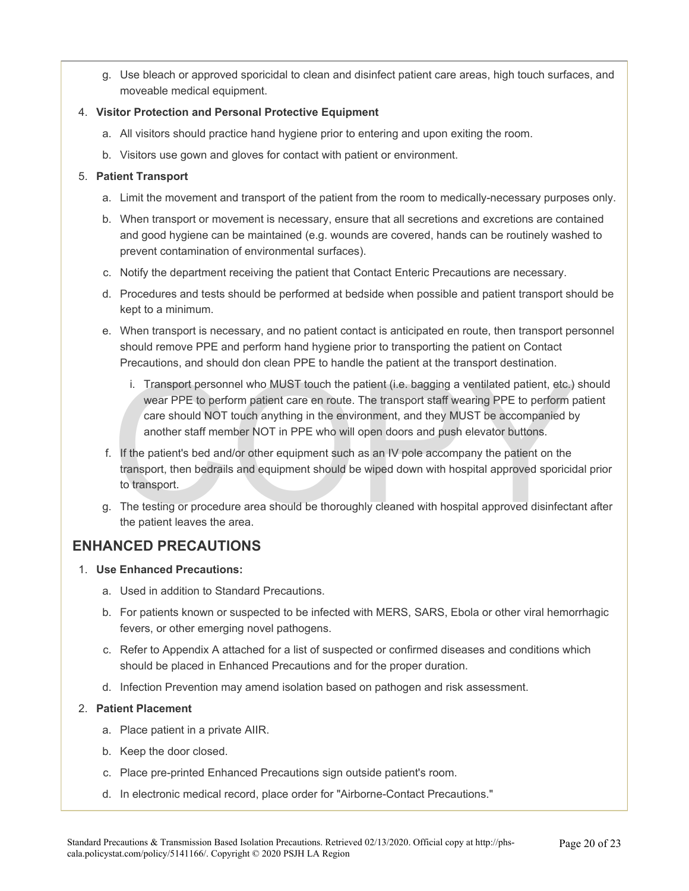g. Use bleach or approved sporicidal to clean and disinfect patient care areas, high touch surfaces, and moveable medical equipment.

#### 4. **Visitor Protection and Personal Protective Equipment**

- a. All visitors should practice hand hygiene prior to entering and upon exiting the room.
- b. Visitors use gown and gloves for contact with patient or environment.

#### 5. **Patient Transport**

- a. Limit the movement and transport of the patient from the room to medically-necessary purposes only.
- b. When transport or movement is necessary, ensure that all secretions and excretions are contained and good hygiene can be maintained (e.g. wounds are covered, hands can be routinely washed to prevent contamination of environmental surfaces).
- c. Notify the department receiving the patient that Contact Enteric Precautions are necessary.
- d. Procedures and tests should be performed at bedside when possible and patient transport should be kept to a minimum.
- e. When transport is necessary, and no patient contact is anticipated en route, then transport personnel should remove PPE and perform hand hygiene prior to transporting the patient on Contact Precautions, and should don clean PPE to handle the patient at the transport destination.
	- i. Transport personnel who MUST touch the patient (i.e. bagging a ventilated patient, etc.)<br>wear PPE to perform patient care en route. The transport staff wearing PPE to perform p<br>care should NOT touch anything in the envi i. Transport personnel who MUST touch the patient (i.e. bagging a ventilated patient, etc.) should wear PPE to perform patient care en route. The transport staff wearing PPE to perform patient care should NOT touch anything in the environment, and they MUST be accompanied by another staff member NOT in PPE who will open doors and push elevator buttons.
- f. If the patient's bed and/or other equipment such as an IV pole accompany the patient on the transport, then bedrails and equipment should be wiped down with hospital approved sporicidal prior to transport.
- g. The testing or procedure area should be thoroughly cleaned with hospital approved disinfectant after the patient leaves the area.

## **ENHANCED PRECAUTIONS**

- 1. **Use Enhanced Precautions:** 
	- a. Used in addition to Standard Precautions.
	- b. For patients known or suspected to be infected with MERS, SARS, Ebola or other viral hemorrhagic fevers, or other emerging novel pathogens.
	- c. Refer to Appendix A attached for a list of suspected or confirmed diseases and conditions which should be placed in Enhanced Precautions and for the proper duration.
	- d. Infection Prevention may amend isolation based on pathogen and risk assessment.

#### 2. **Patient Placement**

- a. Place patient in a private AIIR.
- b. Keep the door closed.
- c. Place pre-printed Enhanced Precautions sign outside patient's room.
- d. In electronic medical record, place order for "Airborne-Contact Precautions."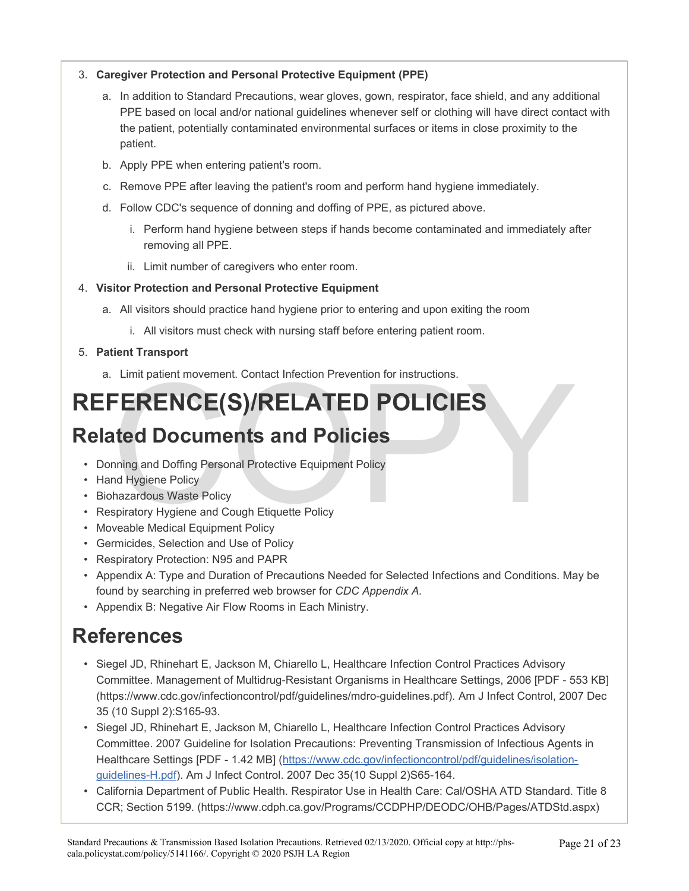#### 3. **Caregiver Protection and Personal Protective Equipment (PPE)**

- a. In addition to Standard Precautions, wear gloves, gown, respirator, face shield, and any additional PPE based on local and/or national guidelines whenever self or clothing will have direct contact with the patient, potentially contaminated environmental surfaces or items in close proximity to the patient.
- b. Apply PPE when entering patient's room.
- c. Remove PPE after leaving the patient's room and perform hand hygiene immediately.
- d. Follow CDC's sequence of donning and doffing of PPE, as pictured above.
	- i. Perform hand hygiene between steps if hands become contaminated and immediately after removing all PPE.
	- ii. Limit number of caregivers who enter room.

#### 4. **Visitor Protection and Personal Protective Equipment**

- a. All visitors should practice hand hygiene prior to entering and upon exiting the room
	- i. All visitors must check with nursing staff before entering patient room.

#### 5. **Patient Transport**

a. Limit patient movement. Contact Infection Prevention for instructions.

# Limit patient movement. Contact Infection Prevention for instructions.<br>
FERENCE(S)/RELATED POLICIES<br>
ated Documents and Policies<br>
nning and Doffing Personal Protective Equipment Policy<br>
nd Hygiene Policy<br>
hazardous Waste P **REFERENCE(S)/RELATED POLICIES**

# **Related Documents and Policies**

- Donning and Doffing Personal Protective Equipment Policy
- Hand Hygiene Policy
- Biohazardous Waste Policy
- Respiratory Hygiene and Cough Etiquette Policy
- Moveable Medical Equipment Policy
- Germicides, Selection and Use of Policy
- Respiratory Protection: N95 and PAPR
- Appendix A: Type and Duration of Precautions Needed for Selected Infections and Conditions. May be found by searching in preferred web browser for *CDC Appendix A.*
- Appendix B: Negative Air Flow Rooms in Each Ministry.

# **References**

- Siegel JD, Rhinehart E, Jackson M, Chiarello L, Healthcare Infection Control Practices Advisory Committee. Management of Multidrug-Resistant Organisms in Healthcare Settings, 2006 [PDF - 553 KB] (https://www.cdc.gov/infectioncontrol/pdf/guidelines/mdro-guidelines.pdf). Am J Infect Control, 2007 Dec 35 (10 Suppl 2):S165-93.
- Siegel JD, Rhinehart E, Jackson M, Chiarello L, Healthcare Infection Control Practices Advisory Committee. 2007 Guideline for Isolation Precautions: Preventing Transmission of Infectious Agents in Healthcare Settings [PDF - 1.42 MB] [\(https://www.cdc.gov/infectioncontrol/pdf/guidelines/isolation](https://www.cdc.gov/infectioncontrol/pdf/guidelines/isolation-guidelines-H.pdf)[guidelines-H.pdf\)](https://www.cdc.gov/infectioncontrol/pdf/guidelines/isolation-guidelines-H.pdf). Am J Infect Control. 2007 Dec 35(10 Suppl 2)S65-164.
- California Department of Public Health. Respirator Use in Health Care: Cal/OSHA ATD Standard. Title 8 CCR; Section 5199. (https://www.cdph.ca.gov/Programs/CCDPHP/DEODC/OHB/Pages/ATDStd.aspx)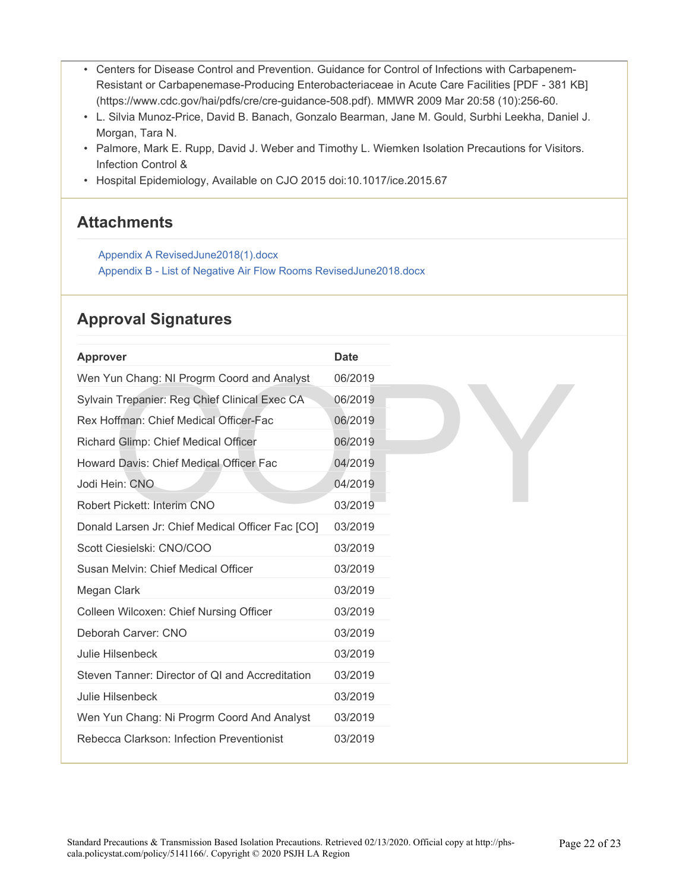- Centers for Disease Control and Prevention. Guidance for Control of Infections with Carbapenem-Resistant or Carbapenemase-Producing Enterobacteriaceae in Acute Care Facilities [PDF - 381 KB] (https://www.cdc.gov/hai/pdfs/cre/cre-guidance-508.pdf). MMWR 2009 Mar 20:58 (10):256-60.
- L. Silvia Munoz-Price, David B. Banach, Gonzalo Bearman, Jane M. Gould, Surbhi Leekha, Daniel J. Morgan, Tara N.
- Palmore, Mark E. Rupp, David J. Weber and Timothy L. Wiemken Isolation Precautions for Visitors. Infection Control &
- Hospital Epidemiology, Available on CJO 2015 doi:10.1017/ice.2015.67

## **Attachments**

[Appendix A RevisedJune2018\(1\).docx](https://pstat-live-media.s3.amazonaws.com/attachments/public/aa6d4dff2e0c3cbf475f52c1c80cfe1219d167e980d0c0994117d0e6/Appendix%20A%20RevisedJune2018%281%29.docx) [Appendix B - List of Negative Air Flow Rooms RevisedJune2018.docx](https://pstat-live-media.s3.amazonaws.com/attachments/public/de1a60132e06bef3a16849ba25f9cbeb133060afe5df76552be5314c/Appendix%20B%20-%20List%20of%20Negative%20Air%20Flow%20RoomsCorrectedJune18.docx) 

## **Approval Signatures**

| <b>Approver</b>                                  | <b>Date</b> |
|--------------------------------------------------|-------------|
| Wen Yun Chang: NI Progrm Coord and Analyst       | 06/2019     |
| Sylvain Trepanier: Reg Chief Clinical Exec CA    | 06/2019     |
| Rex Hoffman: Chief Medical Officer-Fac           | 06/2019     |
| Richard Glimp: Chief Medical Officer             | 06/2019     |
| Howard Davis: Chief Medical Officer Fac          | 04/2019     |
| Jodi Hein: CNO                                   | 04/2019     |
| Robert Pickett: Interim CNO                      | 03/2019     |
| Donald Larsen Jr: Chief Medical Officer Fac [CO] | 03/2019     |
| Scott Ciesielski: CNO/COO                        | 03/2019     |
| Susan Melvin: Chief Medical Officer              | 03/2019     |
| Megan Clark                                      | 03/2019     |
| Colleen Wilcoxen: Chief Nursing Officer          | 03/2019     |
| Deborah Carver: CNO                              | 03/2019     |
| Julie Hilsenbeck                                 | 03/2019     |
| Steven Tanner: Director of QI and Accreditation  | 03/2019     |
| Julie Hilsenbeck                                 | 03/2019     |
| Wen Yun Chang: Ni Progrm Coord And Analyst       | 03/2019     |
| Rebecca Clarkson: Infection Preventionist        | 03/2019     |